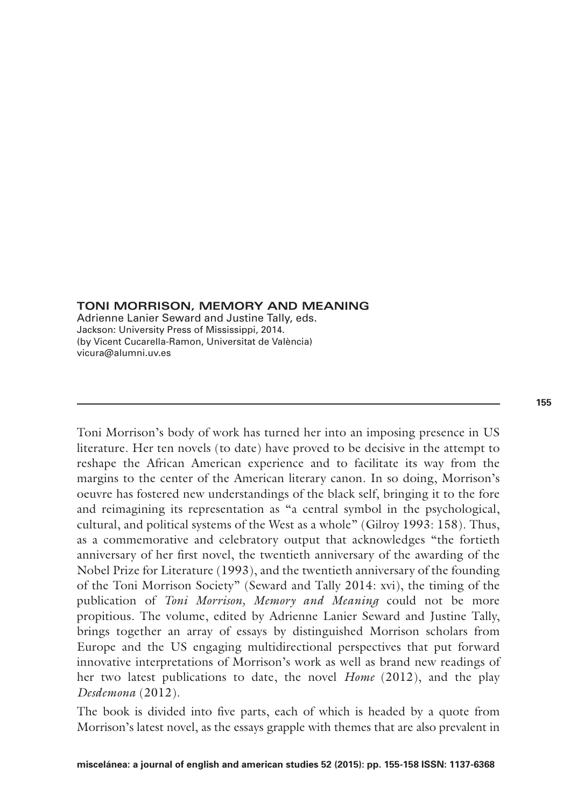### **TONI MORRISON, MEMORY AND MEANING**

Adrienne Lanier Seward and Justine Tally, eds. Jackson: University Press of Mississippi, 2014. (by Vicent Cucarella-Ramon, Universitat de València) vicura@alumni.uv.es

Toni Morrison's body of work has turned her into an imposing presence in US literature. Her ten novels (to date) have proved to be decisive in the attempt to reshape the African American experience and to facilitate its way from the margins to the center of the American literary canon. In so doing, Morrison's oeuvre has fostered new understandings of the black self, bringing it to the fore and reimagining its representation as "a central symbol in the psychological, cultural, and political systems of the West as a whole" (Gilroy 1993: 158). Thus, as a commemorative and celebratory output that acknowledges "the fortieth anniversary of her first novel, the twentieth anniversary of the awarding of the Nobel Prize for Literature (1993), and the twentieth anniversary of the founding of the Toni Morrison Society" (Seward and Tally 2014: xvi), the timing of the publication of *Toni Morrison, Memory and Meaning* could not be more propitious. The volume, edited by Adrienne Lanier Seward and Justine Tally, brings together an array of essays by distinguished Morrison scholars from Europe and the US engaging multidirectional perspectives that put forward innovative interpretations of Morrison's work as well as brand new readings of her two latest publications to date, the novel *Home* (2012), and the play *Desdemona* (2012).

The book is divided into five parts, each of which is headed by a quote from Morrison's latest novel, as the essays grapple with themes that are also prevalent in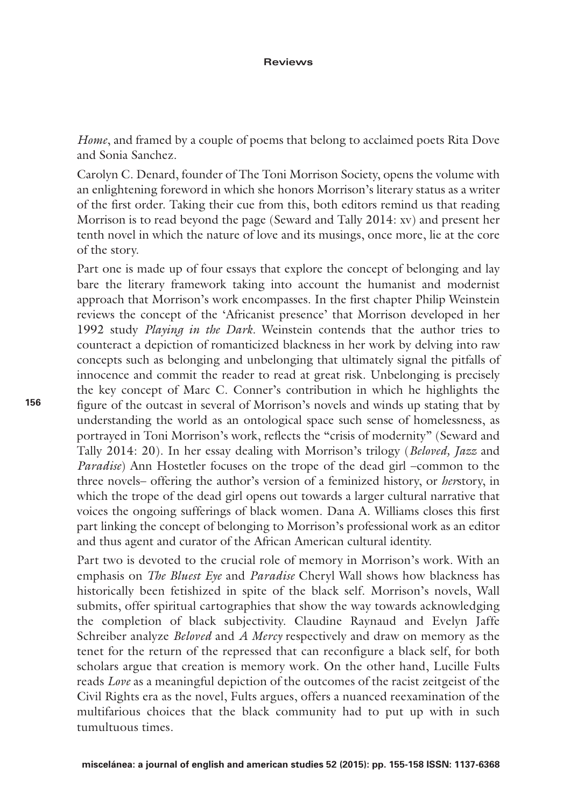*Home*, and framed by a couple of poems that belong to acclaimed poets Rita Dove and Sonia Sanchez.

Carolyn C. Denard, founder of The Toni Morrison Society, opens the volume with an enlightening foreword in which she honors Morrison's literary status as a writer of the first order. Taking their cue from this, both editors remind us that reading Morrison is to read beyond the page (Seward and Tally 2014: xv) and present her tenth novel in which the nature of love and its musings, once more, lie at the core of the story.

Part one is made up of four essays that explore the concept of belonging and lay bare the literary framework taking into account the humanist and modernist approach that Morrison's work encompasses. In the first chapter Philip Weinstein reviews the concept of the 'Africanist presence' that Morrison developed in her 1992 study *Playing in the Dark*. Weinstein contends that the author tries to counteract a depiction of romanticized blackness in her work by delving into raw concepts such as belonging and unbelonging that ultimately signal the pitfalls of innocence and commit the reader to read at great risk. Unbelonging is precisely the key concept of Marc C. Conner's contribution in which he highlights the figure of the outcast in several of Morrison's novels and winds up stating that by understanding the world as an ontological space such sense of homelessness, as portrayed in Toni Morrison's work, reflects the "crisis of modernity" (Seward and Tally 2014: 20). In her essay dealing with Morrison's trilogy (*Beloved, Jazz* and *Paradise*) Ann Hostetler focuses on the trope of the dead girl –common to the three novels– offering the author's version of a feminized history, or *her*story, in which the trope of the dead girl opens out towards a larger cultural narrative that voices the ongoing sufferings of black women. Dana A. Williams closes this first part linking the concept of belonging to Morrison's professional work as an editor and thus agent and curator of the African American cultural identity.

Part two is devoted to the crucial role of memory in Morrison's work. With an emphasis on *The Bluest Eye* and *Paradise* Cheryl Wall shows how blackness has historically been fetishized in spite of the black self. Morrison's novels, Wall submits, offer spiritual cartographies that show the way towards acknowledging the completion of black subjectivity. Claudine Raynaud and Evelyn Jaffe Schreiber analyze *Beloved* and *A Mercy* respectively and draw on memory as the tenet for the return of the repressed that can reconfigure a black self, for both scholars argue that creation is memory work. On the other hand, Lucille Fults reads *Love* as a meaningful depiction of the outcomes of the racist zeitgeist of the Civil Rights era as the novel, Fults argues, offers a nuanced reexamination of the multifarious choices that the black community had to put up with in such tumultuous times.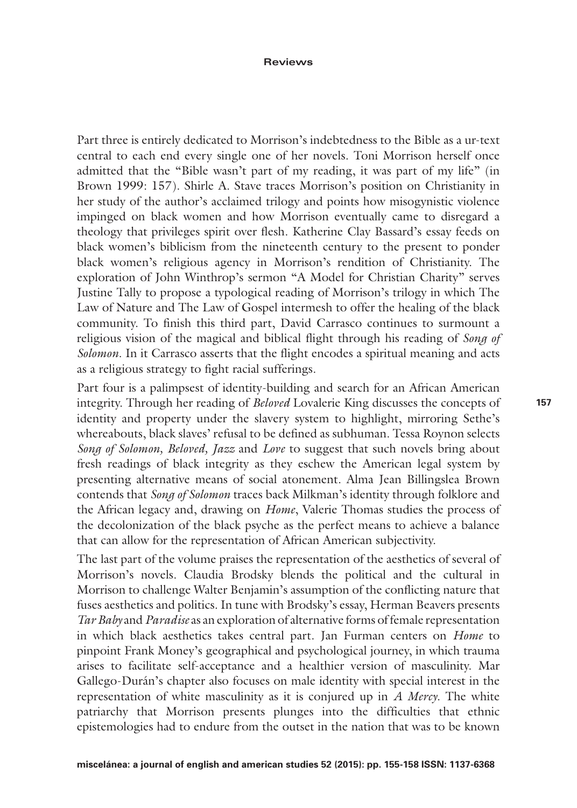#### **Reviews**

Part three is entirely dedicated to Morrison's indebtedness to the Bible as a ur-text central to each end every single one of her novels. Toni Morrison herself once admitted that the "Bible wasn't part of my reading, it was part of my life" (in Brown 1999: 157). Shirle A. Stave traces Morrison's position on Christianity in her study of the author's acclaimed trilogy and points how misogynistic violence impinged on black women and how Morrison eventually came to disregard a theology that privileges spirit over flesh. Katherine Clay Bassard's essay feeds on black women's biblicism from the nineteenth century to the present to ponder black women's religious agency in Morrison's rendition of Christianity. The exploration of John Winthrop's sermon "A Model for Christian Charity" serves Justine Tally to propose a typological reading of Morrison's trilogy in which The Law of Nature and The Law of Gospel intermesh to offer the healing of the black community. To finish this third part, David Carrasco continues to surmount a religious vision of the magical and biblical flight through his reading of *Song of Solomon*. In it Carrasco asserts that the flight encodes a spiritual meaning and acts as a religious strategy to fight racial sufferings.

Part four is a palimpsest of identity-building and search for an African American integrity. Through her reading of *Beloved* Lovalerie King discusses the concepts of identity and property under the slavery system to highlight, mirroring Sethe's whereabouts, black slaves' refusal to be defined as subhuman. Tessa Roynon selects *Song of Solomon, Beloved, Jazz* and *Love* to suggest that such novels bring about fresh readings of black integrity as they eschew the American legal system by presenting alternative means of social atonement. Alma Jean Billingslea Brown contends that *Song of Solomon* traces back Milkman's identity through folklore and the African legacy and, drawing on *Home*, Valerie Thomas studies the process of the decolonization of the black psyche as the perfect means to achieve a balance that can allow for the representation of African American subjectivity.

The last part of the volume praises the representation of the aesthetics of several of Morrison's novels. Claudia Brodsky blends the political and the cultural in Morrison to challenge Walter Benjamin's assumption of the conflicting nature that fuses aesthetics and politics. In tune with Brodsky's essay, Herman Beavers presents *Tar Baby* and *Paradise* as an exploration of alternative forms of female representation in which black aesthetics takes central part. Jan Furman centers on *Home* to pinpoint Frank Money's geographical and psychological journey, in which trauma arises to facilitate self-acceptance and a healthier version of masculinity. Mar Gallego-Durán's chapter also focuses on male identity with special interest in the representation of white masculinity as it is conjured up in *A Mercy*. The white patriarchy that Morrison presents plunges into the difficulties that ethnic epistemologies had to endure from the outset in the nation that was to be known